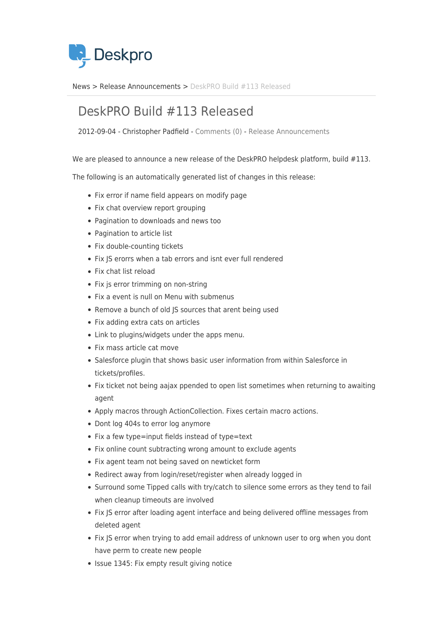

[News](https://support.deskpro.com/sv/news) > [Release Announcements](https://support.deskpro.com/sv/news/release-announcements) > [DeskPRO Build #113 Released](https://support.deskpro.com/sv/news/posts/deskpro-build-113-released)

## DeskPRO Build #113 Released

2012-09-04 - Christopher Padfield - [Comments \(0\)](#page--1-0) - [Release Announcements](https://support.deskpro.com/sv/news/release-announcements)

We are pleased to announce a new release of the DeskPRO helpdesk platform, build #113.

The following is an automatically generated list of changes in this release:

- Fix error if name field appears on modify page
- Fix chat overview report grouping
- Pagination to downloads and news too
- Pagination to article list
- Fix double-counting tickets
- Fix IS erorrs when a tab errors and isnt ever full rendered
- Fix chat list reload
- Fix js error trimming on non-string
- Fix a event is null on Menu with submenus
- Remove a bunch of old JS sources that arent being used
- Fix adding extra cats on articles
- Link to plugins/widgets under the apps menu.
- Fix mass article cat move
- Salesforce plugin that shows basic user information from within Salesforce in tickets/profiles.
- Fix ticket not being aajax ppended to open list sometimes when returning to awaiting agent
- Apply macros through ActionCollection. Fixes certain macro actions.
- Dont log 404s to error log anymore
- Fix a few type=input fields instead of type=text
- Fix online count subtracting wrong amount to exclude agents
- Fix agent team not being saved on newticket form
- Redirect away from login/reset/register when already logged in
- Surround some Tipped calls with try/catch to silence some errors as they tend to fail when cleanup timeouts are involved
- Fix JS error after loading agent interface and being delivered offline messages from deleted agent
- Fix JS error when trying to add email address of unknown user to org when you dont have perm to create new people
- Issue 1345: Fix empty result giving notice